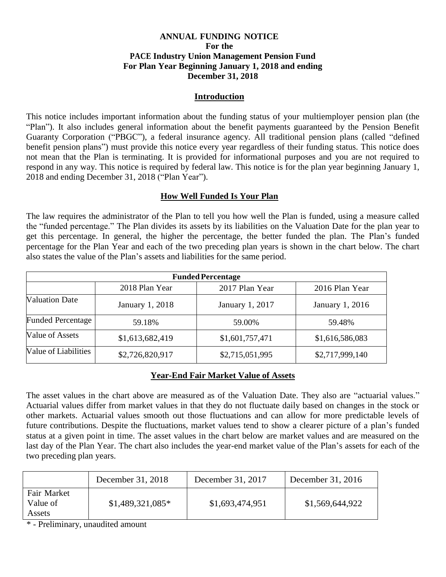#### **ANNUAL FUNDING NOTICE For the PACE Industry Union Management Pension Fund For Plan Year Beginning January 1, 2018 and ending December 31, 2018**

#### **Introduction**

This notice includes important information about the funding status of your multiemployer pension plan (the "Plan"). It also includes general information about the benefit payments guaranteed by the Pension Benefit Guaranty Corporation ("PBGC"), a federal insurance agency. All traditional pension plans (called "defined benefit pension plans") must provide this notice every year regardless of their funding status. This notice does not mean that the Plan is terminating. It is provided for informational purposes and you are not required to respond in any way. This notice is required by federal law. This notice is for the plan year beginning January 1, 2018 and ending December 31, 2018 ("Plan Year").

#### **How Well Funded Is Your Plan**

The law requires the administrator of the Plan to tell you how well the Plan is funded, using a measure called the "funded percentage." The Plan divides its assets by its liabilities on the Valuation Date for the plan year to get this percentage. In general, the higher the percentage, the better funded the plan. The Plan's funded percentage for the Plan Year and each of the two preceding plan years is shown in the chart below. The chart also states the value of the Plan's assets and liabilities for the same period.

| <b>Funded Percentage</b> |                 |                 |                 |  |  |
|--------------------------|-----------------|-----------------|-----------------|--|--|
|                          | 2018 Plan Year  | 2017 Plan Year  | 2016 Plan Year  |  |  |
| <b>Valuation Date</b>    | January 1, 2018 | January 1, 2017 | January 1, 2016 |  |  |
| <b>Funded Percentage</b> | 59.18%          | 59.00%          | 59.48%          |  |  |
| Value of Assets          | \$1,613,682,419 | \$1,601,757,471 | \$1,616,586,083 |  |  |
| Value of Liabilities     | \$2,726,820,917 | \$2,715,051,995 | \$2,717,999,140 |  |  |

## **Year-End Fair Market Value of Assets**

The asset values in the chart above are measured as of the Valuation Date. They also are "actuarial values." Actuarial values differ from market values in that they do not fluctuate daily based on changes in the stock or other markets. Actuarial values smooth out those fluctuations and can allow for more predictable levels of future contributions. Despite the fluctuations, market values tend to show a clearer picture of a plan's funded status at a given point in time. The asset values in the chart below are market values and are measured on the last day of the Plan Year. The chart also includes the year-end market value of the Plan's assets for each of the two preceding plan years.

|                                   | December 31, 2018 | December 31, 2017 | December 31, 2016 |
|-----------------------------------|-------------------|-------------------|-------------------|
| Fair Market<br>Value of<br>Assets | $$1,489,321,085*$ | \$1,693,474,951   | \$1,569,644,922   |

\* - Preliminary, unaudited amount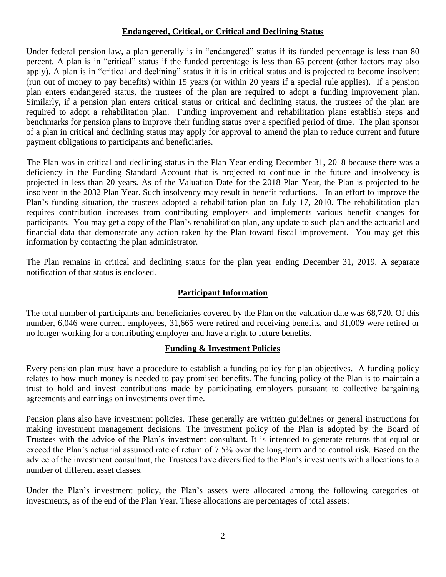## **Endangered, Critical, or Critical and Declining Status**

Under federal pension law, a plan generally is in "endangered" status if its funded percentage is less than 80 percent. A plan is in "critical" status if the funded percentage is less than 65 percent (other factors may also apply). A plan is in "critical and declining" status if it is in critical status and is projected to become insolvent (run out of money to pay benefits) within 15 years (or within 20 years if a special rule applies). If a pension plan enters endangered status, the trustees of the plan are required to adopt a funding improvement plan. Similarly, if a pension plan enters critical status or critical and declining status, the trustees of the plan are required to adopt a rehabilitation plan. Funding improvement and rehabilitation plans establish steps and benchmarks for pension plans to improve their funding status over a specified period of time. The plan sponsor of a plan in critical and declining status may apply for approval to amend the plan to reduce current and future payment obligations to participants and beneficiaries.

The Plan was in critical and declining status in the Plan Year ending December 31, 2018 because there was a deficiency in the Funding Standard Account that is projected to continue in the future and insolvency is projected in less than 20 years*.* As of the Valuation Date for the 2018 Plan Year, the Plan is projected to be insolvent in the 2032 Plan Year. Such insolvency may result in benefit reductions. In an effort to improve the Plan's funding situation, the trustees adopted a rehabilitation plan on July 17, 2010*.* The rehabilitation plan requires contribution increases from contributing employers and implements various benefit changes for participants. You may get a copy of the Plan's rehabilitation plan, any update to such plan and the actuarial and financial data that demonstrate any action taken by the Plan toward fiscal improvement. You may get this information by contacting the plan administrator.

The Plan remains in critical and declining status for the plan year ending December 31, 2019. A separate notification of that status is enclosed.

# **Participant Information**

The total number of participants and beneficiaries covered by the Plan on the valuation date was 68,720*.* Of this number, 6,046 were current employees, 31,665 were retired and receiving benefits, and 31,009 were retired or no longer working for a contributing employer and have a right to future benefits.

## **Funding & Investment Policies**

Every pension plan must have a procedure to establish a funding policy for plan objectives. A funding policy relates to how much money is needed to pay promised benefits. The funding policy of the Plan is to maintain a trust to hold and invest contributions made by participating employers pursuant to collective bargaining agreements and earnings on investments over time.

Pension plans also have investment policies. These generally are written guidelines or general instructions for making investment management decisions. The investment policy of the Plan is adopted by the Board of Trustees with the advice of the Plan's investment consultant. It is intended to generate returns that equal or exceed the Plan's actuarial assumed rate of return of 7.5% over the long-term and to control risk. Based on the advice of the investment consultant, the Trustees have diversified to the Plan's investments with allocations to a number of different asset classes*.*

Under the Plan's investment policy, the Plan's assets were allocated among the following categories of investments, as of the end of the Plan Year. These allocations are percentages of total assets: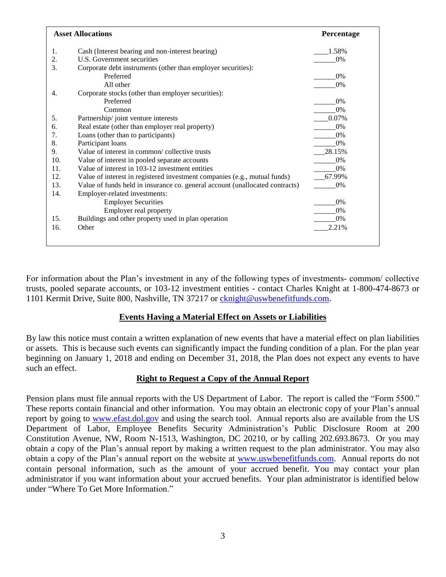| <b>Asset Allocations</b> |                                                                              | Percentage |
|--------------------------|------------------------------------------------------------------------------|------------|
| 1.                       | Cash (Interest bearing and non-interest bearing)                             | 1.58%      |
| 2.                       | U.S. Government securities                                                   | 0%         |
| 3.                       | Corporate debt instruments (other than employer securities):                 |            |
|                          | Preferred                                                                    | 0%         |
|                          | All other                                                                    | 0%         |
| 4.                       | Corporate stocks (other than employer securities):                           |            |
|                          | Preferred                                                                    | 0%         |
|                          | Common                                                                       | 0%         |
| 5.                       | Partnership/joint venture interests                                          | 0.07%      |
| 6.                       | Real estate (other than employer real property)                              | 0%         |
| 7.                       | Loans (other than to participants)                                           | 0%         |
| 8.                       | Participant loans                                                            | 0%         |
| 9.                       | Value of interest in common/collective trusts                                | 28.15%     |
| 10.                      | Value of interest in pooled separate accounts                                | 0%         |
| 11.                      | Value of interest in 103-12 investment entities                              | 0%         |
| 12.                      | Value of interest in registered investment companies (e.g., mutual funds)    | 67.99%     |
| 13.                      | Value of funds held in insurance co. general account (unallocated contracts) | 0%         |
| 14.                      | Employer-related investments:                                                |            |
|                          | <b>Employer Securities</b>                                                   | 0%         |
|                          | Employer real property                                                       | 0%         |
| 15.                      | Buildings and other property used in plan operation                          | 0%         |
| 16.                      | Other                                                                        | 2.21%      |
|                          |                                                                              |            |

For information about the Plan's investment in any of the following types of investments common/ collective trusts, pooled separate accounts, or 103-12 investment entities - contact Charles Knight at 1-800-474-8673 or 1101 Kermit Drive, Suite 800, Nashville, TN 37217 or [cknight@uswbenefitfunds.com.](mailto:cknight@uswbenefitfunds.com)

## **Events Having a Material Effect on Assets or Liabilities**

By law this notice must contain a written explanation of new events that have a material effect on plan liabilities or assets. This is because such events can significantly impact the funding condition of a plan. For the plan year beginning on January 1, 2018 and ending on December 31, 2018*,* the Plan does not expect any events to have such an effect.

#### **Right to Request a Copy of the Annual Report**

Pension plans must file annual reports with the US Department of Labor. The report is called the "Form 5500." These reports contain financial and other information. You may obtain an electronic copy of your Plan's annual report by going to [www.efast.dol.gov](http://www.efast.dol.gov/) and using the search tool. Annual reports also are available from the US Department of Labor, Employee Benefits Security Administration's Public Disclosure Room at 200 Constitution Avenue, NW, Room N-1513, Washington, DC 20210, or by calling 202.693.8673. Or you may obtain a copy of the Plan's annual report by making a written request to the plan administrator. You may also obtain a copy of the Plan's annual report on the website at [www.uswbenefitfunds.com.](http://www.uswbenefitfunds.com/) Annual reports do not contain personal information, such as the amount of your accrued benefit. You may contact your plan administrator if you want information about your accrued benefits. Your plan administrator is identified below under "Where To Get More Information."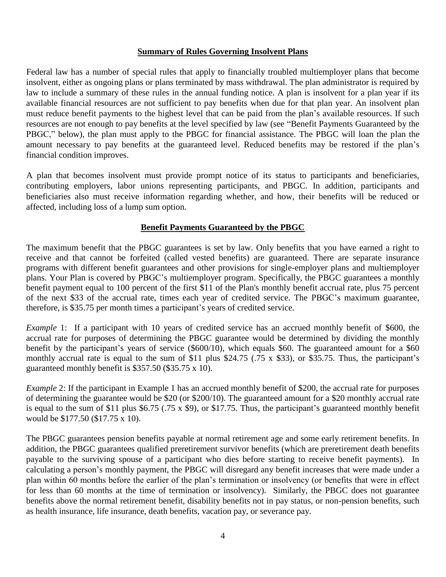#### **Summary of Rules Governing Insolvent Plans**

Federal law has a number of special rules that apply to financially troubled multiemployer plans that become insolvent, either as ongoing plans or plans terminated by mass withdrawal. The plan administrator is required by law to include a summary of these rules in the annual funding notice. A plan is insolvent for a plan year if its available financial resources are not sufficient to pay benefits when due for that plan year. An insolvent plan must reduce benefit payments to the highest level that can be paid from the plan's available resources. If such resources are not enough to pay benefits at the level specified by law (see "Benefit Payments Guaranteed by the PBGC," below), the plan must apply to the PBGC for financial assistance. The PBGC will loan the plan the amount necessary to pay benefits at the guaranteed level. Reduced benefits may be restored if the plan's financial condition improves.

A plan that becomes insolvent must provide prompt notice of its status to participants and beneficiaries, contributing employers, labor unions representing participants, and PBGC. In addition, participants and beneficiaries also must receive information regarding whether, and how, their benefits will be reduced or affected, including loss of a lump sum option.

## **Benefit Payments Guaranteed by the PBGC**

The maximum benefit that the PBGC guarantees is set by law. Only benefits that you have earned a right to receive and that cannot be forfeited (called vested benefits) are guaranteed. There are separate insurance programs with different benefit guarantees and other provisions for single-employer plans and multiemployer plans. Your Plan is covered by PBGC's multiemployer program. Specifically, the PBGC guarantees a monthly benefit payment equal to 100 percent of the first \$11 of the Plan's monthly benefit accrual rate, plus 75 percent of the next \$33 of the accrual rate, times each year of credited service. The PBGC's maximum guarantee, therefore, is \$35.75 per month times a participant's years of credited service.

*Example* 1: If a participant with 10 years of credited service has an accrued monthly benefit of \$600, the accrual rate for purposes of determining the PBGC guarantee would be determined by dividing the monthly benefit by the participant's years of service (\$600/10), which equals \$60. The guaranteed amount for a \$60 monthly accrual rate is equal to the sum of \$11 plus \$24.75 (.75 x \$33), or \$35.75. Thus, the participant's guaranteed monthly benefit is \$357.50 (\$35.75 x 10).

*Example 2*: If the participant in Example 1 has an accrued monthly benefit of \$200, the accrual rate for purposes of determining the guarantee would be \$20 (or \$200/10). The guaranteed amount for a \$20 monthly accrual rate is equal to the sum of \$11 plus \$6.75 (.75 x \$9), or \$17.75. Thus, the participant's guaranteed monthly benefit would be \$177.50 (\$17.75 x 10).

The PBGC guarantees pension benefits payable at normal retirement age and some early retirement benefits. In addition, the PBGC guarantees qualified preretirement survivor benefits (which are preretirement death benefits payable to the surviving spouse of a participant who dies before starting to receive benefit payments). In calculating a person's monthly payment, the PBGC will disregard any benefit increases that were made under a plan within 60 months before the earlier of the plan's termination or insolvency (or benefits that were in effect for less than 60 months at the time of termination or insolvency). Similarly, the PBGC does not guarantee benefits above the normal retirement benefit, disability benefits not in pay status, or non-pension benefits, such as health insurance, life insurance, death benefits, vacation pay, or severance pay.